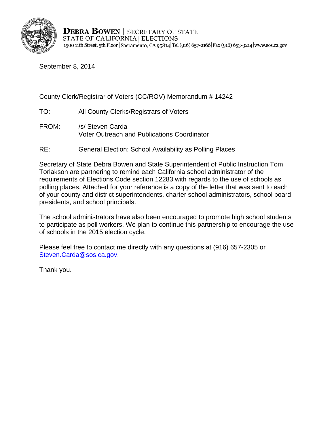

**DEBRA BOWEN | SECRETARY OF STATE** STATE OF CALIFORNIA | ELECTIONS 1500 11th Street, 5th Floor | Sacramento, CA 95814 | Tel (916) 657-2166 | Fax (916) 653-3214 | www.sos.ca.gov

September 8, 2014

County Clerk/Registrar of Voters (CC/ROV) Memorandum # 14242

- TO: All County Clerks/Registrars of Voters
- FROM: /s/ Steven Carda Voter Outreach and Publications Coordinator
- RE: General Election: School Availability as Polling Places

Secretary of State Debra Bowen and State Superintendent of Public Instruction Tom Torlakson are partnering to remind each California school administrator of the requirements of Elections Code section 12283 with regards to the use of schools as polling places. Attached for your reference is a copy of the letter that was sent to each of your county and district superintendents, charter school administrators, school board presidents, and school principals.

The school administrators have also been encouraged to promote high school students to participate as poll workers. We plan to continue this partnership to encourage the use of schools in the 2015 election cycle.

Please feel free to contact me directly with any questions at (916) 657-2305 or [Steven.Carda@sos.ca.gov.](mailto:Steven.Carda@sos.ca.gov)

Thank you.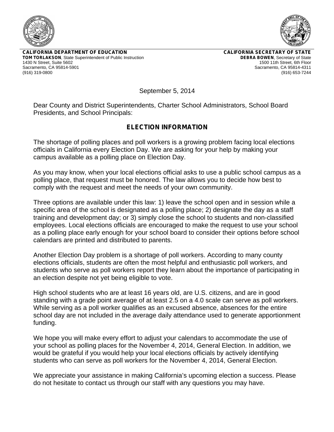



**CALIFORNIA DEPARTMENT OF EDUCATION TOM TORLAKSON**, State Superintendent of Public Instruction 1430 N Street, Suite 5602 Sacramento, CA 95814-5901 (916) 319-0800

**CALIFORNIA SECRETARY OF STATE DEBRA BOWEN**, Secretary of State 1500 11th Street, 6th Floor Sacramento, CA 95814-4311 (916) 653-7244

September 5, 2014

Dear County and District Superintendents, Charter School Administrators, School Board Presidents, and School Principals:

## **ELECTION INFORMATION**

The shortage of polling places and poll workers is a growing problem facing local elections officials in California every Election Day. We are asking for your help by making your campus available as a polling place on Election Day.

As you may know, when your local elections official asks to use a public school campus as a polling place, that request must be honored. The law allows you to decide how best to comply with the request and meet the needs of your own community.

Three options are available under this law: 1) leave the school open and in session while a specific area of the school is designated as a polling place; 2) designate the day as a staff training and development day; or 3) simply close the school to students and non-classified employees. Local elections officials are encouraged to make the request to use your school as a polling place early enough for your school board to consider their options before school calendars are printed and distributed to parents.

Another Election Day problem is a shortage of poll workers. According to many county elections officials, students are often the most helpful and enthusiastic poll workers, and students who serve as poll workers report they learn about the importance of participating in an election despite not yet being eligible to vote.

High school students who are at least 16 years old, are U.S. citizens, and are in good standing with a grade point average of at least 2.5 on a 4.0 scale can serve as poll workers. While serving as a poll worker qualifies as an excused absence, absences for the entire school day are not included in the average daily attendance used to generate apportionment funding.

We hope you will make every effort to adjust your calendars to accommodate the use of your school as polling places for the November 4, 2014, General Election. In addition, we would be grateful if you would help your local elections officials by actively identifying students who can serve as poll workers for the November 4, 2014, General Election.

We appreciate your assistance in making California's upcoming election a success. Please do not hesitate to contact us through our staff with any questions you may have.